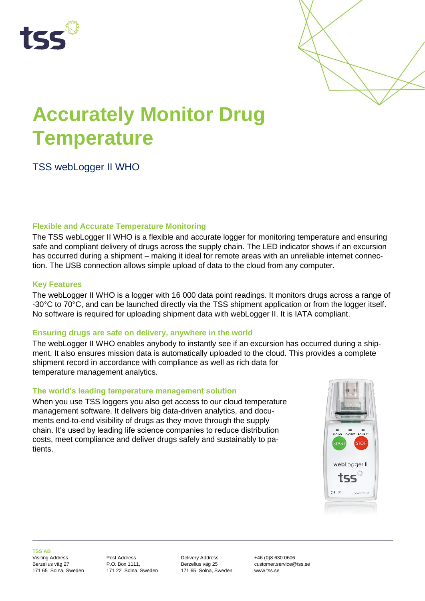



# **Accurately Monitor Drug Temperature**

# TSS webLogger II WHO

### **Flexible and Accurate Temperature Monitoring**

The TSS webLogger II WHO is a flexible and accurate logger for monitoring temperature and ensuring safe and compliant delivery of drugs across the supply chain. The LED indicator shows if an excursion has occurred during a shipment – making it ideal for remote areas with an unreliable internet connection. The USB connection allows simple upload of data to the cloud from any computer.

## **Key Features**

The webLogger II WHO is a logger with 16 000 data point readings. It monitors drugs across a range of -30°C to 70°C, and can be launched directly via the TSS shipment application or from the logger itself. No software is required for uploading shipment data with webLogger II. It is IATA compliant.

### **Ensuring drugs are safe on delivery, anywhere in the world**

The webLogger II WHO enables anybody to instantly see if an excursion has occurred during a shipment. It also ensures mission data is automatically uploaded to the cloud. This provides a complete shipment record in accordance with compliance as well as rich data for temperature management analytics.

### **The world's leading temperature management solution**

When you use TSS loggers you also get access to our cloud temperature management software. It delivers big data-driven analytics, and documents end-to-end visibility of drugs as they move through the supply chain. It's used by leading life science companies to reduce distribution costs, meet compliance and deliver drugs safely and sustainably to patients.



**TSS AB**

Visiting Address Berzelius väg 27 171 65 Solna, Sweden Post Address P.O. Box 1111, 171 22 Solna, Sweden Delivery Address Berzelius väg 25 171 65 Solna, Sweden +46 (0)8 630 0606 customer.service@tss.se www.tss.se